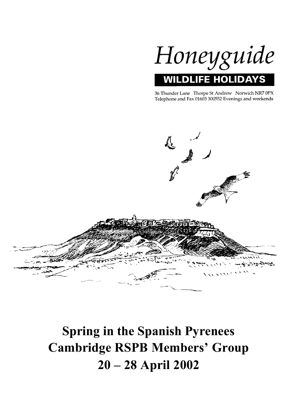

36 Thunder Lane Thorpe St Andrew Norwich NR7 0PX Telephone and Fax 01603 300552 Evenings and weekends



# **Spring in the Spanish Pyrenees Cambridge RSPB Members' Group 20 – 28 April 2002**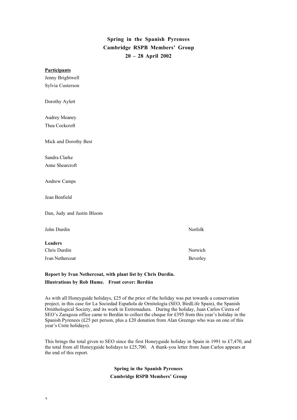# **Spring in the Spanish Pyrenees Cambridge RSPB Members' Group 20 – 28 April 2002**

| <b>Participants</b>        |          |
|----------------------------|----------|
| Jenny Brightwell           |          |
| Sylvia Custerson           |          |
| Dorothy Aylett             |          |
| Audrey Meaney              |          |
| Thea Cockcroft             |          |
| Mick and Dorothy Best      |          |
| Sandra Clarke              |          |
| Anne Shearcroft            |          |
| Andrew Camps               |          |
| Jean Benfield              |          |
| Dan, Judy and Justin Bloom |          |
| John Durdin                | Norfolk  |
| <b>Leaders</b>             |          |
| Chris Durdin               | Norwich  |
| Ivan Nethercoat            | Beverley |

# **Report by Ivan Nethercoat, with plant list by Chris Durdin. Illustrations by Rob Hume. Front cover: Berdún**

As with all Honeyguide holidays, £25 of the price of the holiday was put towards a conservation project, in this case for La Sociedad Española de Ornitología (SEO, BirdLife Spain), the Spanish Ornithological Society, and its work in Extremadura. During the holiday, Juan Carlos Cirera of SEO's Zaragoza office came to Berdún to collect the cheque for £395 from this year's holiday in the Spanish Pyrenees (£25 per person, plus a £20 donation from Alan Greengo who was on one of this year's Crete holidays).

This brings the total given to SEO since the first Honeyguide holiday in Spain in 1991 to £7,470, and the total from all Honeyguide holidays to £25,700. A thank-you letter from Juan Carlos appears at the end of this report.

> **Spring in the Spanish Pyrenees Cambridge RSPB Members' Group**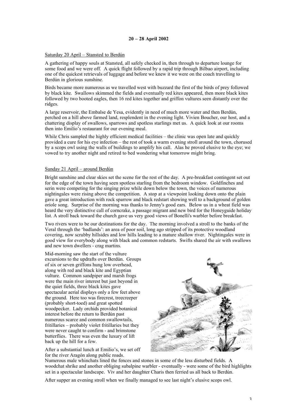# **20 – 28 April 2002**

# Saturday 20 April – Stansted to Berdún

A gathering of happy souls at Stansted, all safely checked in, then through to departure lounge for some food and we were off. A quick flight followed by a rapid trip through Bilbao airport, including one of the quickest retrievals of luggage and before we knew it we were on the coach travelling to Berdún in glorious sunshine.

Birds became more numerous as we travelled west with buzzard the first of the birds of prey followed by black kite. Swallows skimmed the fields and eventually red kites appeared, then more black kites followed by two booted eagles, then 16 red kites together and griffon vultures seen distantly over the ridges.

A large reservoir, the Embalse de Yesa, evidently in need of much more water and then Berdún, perched on a hill above farmed land, resplendent in the evening light. Vivien Boucher, our host, and a chattering display of swallows, sparrows and spotless starlings met us. A quick look at our rooms then into Emilio's restaurant for our evening meal.

While Chris sampled the highly efficient medical facilities – the clinic was open late and quickly provided a cure for his eye infection – the rest of took a warm evening stroll around the town, chorused by a scops owl using the walls of buildings to amplify his call. Alas he proved elusive to the eye; we vowed to try another night and retired to bed wondering what tomorrow might bring.

# Sunday 21 April – around Berdún

Bright sunshine and clear skies set the scene for the rest of the day. A pre-breakfast contingent set out for the edge of the town having seen spotless starling from the bedroom window. Goldfinches and serin were competing for the singing prize while down below the town, the voices of numerous nightingales were rising above the competition. A stop at a viewpoint looking down onto the plain gave a great introduction with rock sparrow and black redstart showing well to a background of golden oriole song. Surprise of the morning was thanks to Jenny's good ears. Below us in a wheat field was heard the very distinctive call of corncrake, a passage migrant and new bird for the Honeyguide holiday list. A stroll back toward the church gave us very good views of Bonelli's warbler before breakfast.

Two rivers were to be our destinations for the day. The morning involved a stroll to the banks of the Veral through the 'badlands': an area of poor soil, long ago stripped of its protective woodland covering, now scrubby hillsides and low hills leading to a mature shallow river. Nightingales were in good view for everybody along with black and common redstarts. Swifts shared the air with swallows and new town dwellers - crag martins.

Mid-morning saw the start of the vulture excursions to the updrafts over Berdún. Groups of six or seven griffons hung low overhead, along with red and black kite and Egyptian vulture. Common sandpiper and marsh frogs were the main river interest but just beyond in the quiet fields, three black kites gave spectacular aerial displays only a few feet above the ground. Here too was firecrest, treecreeper (probably short-toed) and great spotted woodpecker. Lady orchids provided botanical interest before the return to Berdún past numerous scarce and common swallowtails, fritillaries – probably violet fritillaries but they were never caught to confirm - and brimstone butterflies. There was even the luxury of lift back up the hill for a few.

After a substantial lunch at Emilio's, we set off for the river Aragón along public roads.



Numerous male whinchats lined the fences and stones in some of the less disturbed fields. A woodchat shrike and another obliging subalpine warbler - eventually - were some of the bird highlights set in a spectacular landscape. Viv and her daughter Charis then ferried us all back to Berdún.

After supper an evening stroll when we finally managed to see last night's elusive scops owl.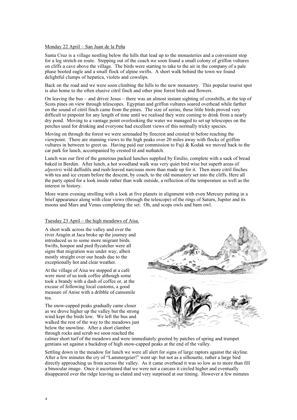#### Monday 22 April – San Juan de la Peña

Santa Cruz is a village nestling below the hills that lead up to the monasteries and a convenient stop for a leg stretch en route. Stepping out of the coach we soon found a small colony of griffon vultures on cliffs a cave above the village. The birds were starting to take to the air in the company of a pale phase booted eagle and a small flock of alpine swifts. A short walk behind the town we found delightful clumps of hepatica, violets and cowslips.

Back on the road and we were soon climbing the hills to the new monastery. This popular tourist spot is also home to the often elusive citril finch and other pine forest birds and flowers.

On leaving the bus – and driver Jesus – there was an almost instant sighting of crossbills, at the top of Scots pines on view through telescopes. Egyptian and griffon vultures soared overhead while farther on the sound of citril finch came from the pines. The size of serins, these little birds proved very difficult to pinpoint for any length of time until we realised they were coming to drink from a nearly dry pond. Moving to a vantage point overlooking the water we managed to set up telescopes on the perches used for drinking and everyone had excellent views of this normally tricky species.

Moving on through the forest we were serenaded by firecrest and crested tit before reaching the viewpoint. There are stunning views to the high peaks over 20 miles away with flocks of griffon vultures in between to greet us. Having paid our commission to Fuji & Kodak we moved back to the car park for lunch, accompanied by crested tit and nuthatch.

Lunch was our first of the generous packed lunches supplied by Emilio, complete with a sack of bread baked in Berdún. After lunch, a hot woodland walk was very quiet bird wise but superb areas of *alpestris* wild daffodils and rush-leaved narcissus more than made up for it. Then more citril finches with tea and ice cream before the descent, by coach, to the old monastery set into the cliffs. Here all the party opted for a look inside rather than walk outside, a reflection of the temperature as well as the interest in history.

More warm evening strolling with a look at five planets in alignment with even Mercury putting in a brief appearance along with clear views (through the telescope) of the rings of Saturn, Jupiter and its moons and Mars and Venus completing the set. Oh, and scops owls and barn owl.

# Tuesday 23 April – the high meadows of Aísa.

A short walk across the valley and over the river Aragón at Jaca broke up the journey and introduced us to some more migrant birds. Swifts, hoopoe and pied flycatcher were all signs that migration was under way, albeit mostly straight over our heads due to the exceptionally hot and clear weather.

At the village of Aísa we stopped at a café were most of us took coffee although some took a brandy with a dash of coffee or, at the excuse of following local customs, a good measure of Anise with a dribble of camomile tea.

The snow-capped peaks gradually came closer as we drove higher up the valley but the strong wind kept the birds low. We left the bus and walked the rest of the way to the meadows just below the snowline. After a short clamber through rocks and scrub we soon reached the



calmer short turf of the meadows and were immediately greeted by patches of spring and trumpet gentians set against a backdrop of high snow-capped peaks at the end of the valley.

Settling down in the meadow for lunch we were all alert for signs of large raptors against the skyline. After a few minutes the cry of "Lammergeier!" went up: but not as a silhouette, rather a large bird directly approaching us from across the valley. As it came overhead it was so low as to more than fill a binocular image. Once it ascertained that we were not a carcass it circled higher and eventually disappeared over the ridge leaving us elated and very surprised at our timing. However a few minutes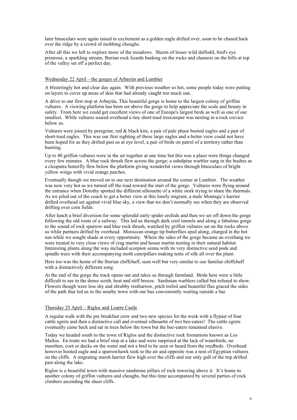later binoculars were again raised in excitement as a golden eagle drifted over, soon to be chased back over the ridge by a crowd of mobbing choughs.

After all this we left to explore more of the meadows. Sheets of lesser wild daffodil, bird's eye primrose, a sparkling stream, Iberian rock lizards basking on the rocks and chamois on the hills at top of the valley set off a perfect day.

# Wednesday 22 April – the gorges of Arbayún and Lumbier

A blisteringly hot and clear day again. With previous weather so hot, some people today were putting on layers to cover up areas of skin that had already caught too much sun.

A drive to our first stop at Arbayún, This beautiful gorge is home to the largest colony of griffon vultures. A viewing platform has been set above the gorge to help appreciate the scale and beauty in safety. From here we could get excellent views of one of Europe's largest birds as well as one of our smallest. While vultures soared overhead a tiny short-toed treecreeper was nesting in a rock crevice below us.

Vultures were joined by peregrine, red & black kite, a pair of pale phase booted eagles and a pair of short-toed eagles. This was our first sighting of these large eagles and a better view could not have been hoped for as they drifted past us at eye level, a pair of birds on patrol of a territory rather than hunting.

Up to 40 griffon vultures were in the air together at one time but this was a place were things changed every few minutes. A blue rock thrush flew across the gorge; a subalpine warbler sang in the bushes as a cleopatra butterfly flew below the platform giving wonderful views through binoculars of bright yellow wings with vivid orange patches.

Eventually though we moved on to our next destination around the corner at Lumbier. The weather was now very hot as we turned off the road toward the start of the gorge. Vultures were flying around the entrance when Dorothy spotted the different silhouette of a white stork trying to share the thermals. As we piled out of the coach to get a better view at this lonely migrant, a male Montagu's harrier drifted overhead set against vivid blue sky, a view that we don't normally see when they are observed drifting over corn fields.

After lunch a brief diversion for some splendid early spider orchids and then we set off down the gorge following the old route of a railway. This led us through dark cool tunnels and along a fabulous gorge to the sound of rock sparrow and blue rock thrush, watched by griffon vultures sat on the rocks above us while partners drifted by overhead. Moroccan orange tip butterflies sped along, charged in the hot sun while we sought shade at every opportunity. Where the sides of the gorge became an overhang we were treated to very close views of crag martin and house martin nesting in their natural habitat. Interesting plants along the way included scorpion senna with its very distinctive seed pods and spindle trees with their accompanying moth caterpillars making tents of silk all over the plant.

Here too was the home of the Iberian chiffchaff, seen well but very similar to our familiar chiffchaff with a distinctively different song.

At the end of the gorge the track opens out and takes us through farmland. Birds here were a little difficult to see in the dense scrub, heat and stiff breeze. Sardinian warblers called but refused to show. Flowers though were less shy and shrubby restharrow, pitch trefoil and beautiful flax graced the sides of the path that led us to the nearby town with our bus conveniently waiting outside a bar.

#### Thursday 25 April – Riglos and Loarre Castle

A regular walk with the pre breakfast crew and two new species for the week with a flypast of four cattle egrets and then a distinctive call and eventual silhouette of two bee-eaters! The cattle egrets eventually came back and sat in trees below the town but the bee-eaters remained elusive.

Today we headed south to the town of Riglos and the distinctive rock formations known as Los Mallos. En route we had a brief stop at a lake and were surprised at the lack of waterbirds, no moorhen, coot or ducks on the water and not a bird to be seen or heard from the reedbeds. Overhead however booted eagle and a sparrowhawk took to the air and opposite was a nest of Egyptian vultures on the cliffs. A migrating marsh harrier flew high over the cliffs and our only gull of the trip drifted past along the lake.

Riglos is a beautiful town with massive sandstone pillars of rock towering above it. It's home to another colony of griffon vultures and choughs, but this time accompanied by several parties of rock climbers ascending the sheer cliffs.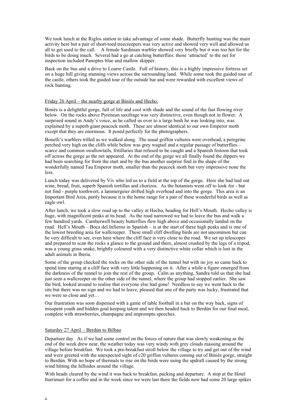We took lunch at the Riglos station to take advantage of some shade. Butterfly hunting was the main activity here but a pair of short-toed treecreepers was very active and showed very well and allowed us all to get used to the call. A female Sardinian warbler showed very briefly but it was too hot for the birds to be doing much. Several had a go at catching butterflies: those 'attracted' to the net for inspection included Panoptes blue and mallow skipper.

Back on the bus and a drive to Loarre Castle. Full of history, this is a highly impressive fortress set on a huge hill giving stunning views across the surrounding land. While some took the guided tour of the castle, others took the guided tour of the outside bar and were rewarded with excellent views of rock bunting.

## Friday 26 April – the nearby gorge at Biniés and Hecho.

Biniés is a delightful gorge, full of life and cool with shade and the sound of the fast flowing river below. On the rocks above Pyrenean saxifrage was very distinctive, even though not in flower. A surprised sound in Andy's voice, as he called us over to a large bush he was looking into, was explained by a superb giant peacock moth. These are almost identical to our own Emperor moth except that they are enormous. It posed perfectly for the photographers.

Bonelli's warblers trilled as we walked along. The usual griffon vultures were overhead, a peregrine perched very high on the cliffs while below was grey wagtail and a regular passage of butterflies – scarce and common swallowtails, fritillaries that refused to be caught and a Spanish festoon that took off across the gorge as the net appeared. At the end of the gorge we all finally found the dippers we had been searching for from the start and by the bus another surprise find in the shape of the wonderfully named Tau Emperor moth, smaller than the peacock moth but very impressive none the less.

Lunch today was delivered by Viv who led us to a field at the top of the gorge. Here she had laid out wine, bread, fruit, superb Spanish tortillas and chorizos. As the botanists went off to look for - but not find - purple toothwort, a lammergeier drifted high overhead and into the gorge. This area is an Important Bird Area, partly because it is the home range for a pair of these wonderful birds as well as eagle owl.

After lunch, we took a slow road up to the valley at Hecho, heading for Hell's Mouth. Hecho valley is huge, with magnificent peaks at its head. As the road narrowed we had to leave the bus and walk a few hundred yards. Camberwell beauty butterflies flew high above and occasionally landed on the road. Hell's Mouth – Boca del Infierno in Spanish – is at the start of these high peaks and is one of the lowest breeding area for wallcreeper. These small cliff dwelling birds are not uncommon but can be very difficult to see, even here where the cliff face is very close to the road. We set up telescopes and prepared to scan the rocks a glance to the ground and there, almost crushed by the legs of a tripod, was a young grass snake, brightly coloured with a very distinctive white collar which is lost in the adult animals in Iberia.

Some of the group checked the rocks on the other side of the tunnel but with no joy so came back to spend time staring at a cliff face with very little happening on it. After a while a figure emerged from the darkness of the tunnel to join the rest of the group. Calm as anything, Sandra told us that she had just seen a wallcreeper on the other side of the tunnel, where the group had stopped earlier. She saw the bird, looked around to realise that everyone else had gone! Needless to say we went back to the site but there was no sign and we had to leave, pleased that one of the party was lucky, frustrated that we were so close and yet…

Our frustration was soon dispersed with a game of table football in a bar on the way back, signs of misspent youth and hidden goal keeping talent and we then headed back to Berdún for our final meal, complete with strawberries, champagne and impromptu speeches.

#### Saturday 27 April – Berdún to Bilbao

Departure day. As if we had some control on the forces of nature that was slowly weakening as the end of the week drew near, the weather today was very windy with grey clouds massing around the village before breakfast. We took a pre-breakfast stroll below the village to try and get out of the wind and were greeted with the unexpected sight of c20 griffon vultures coming out of Biniés gorge, straight to Berdún. With no hope of thermals to rise on the birds were using the updraft caused by the strong wind hitting the hillsides around the village.

With heads cleared by the wind it was back to breakfast, packing and departure. A stop at the Hotel Iturrimuri for a coffee and in the week since we were last there the fields now had some 20 large spikes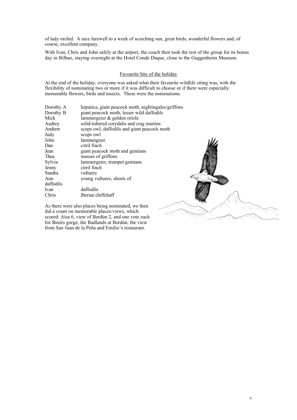of lady orchid. A nice farewell to a week of scorching sun, great birds, wonderful flowers and, of course, excellent company.

With Ivan, Chris and John safely at the airport, the coach then took the rest of the group for its bonus day in Bilbao, staying overnight at the Hotel Conde Duque, close to the Guggenheim Museum.

# Favourite bits of the holiday

At the end of the holiday, everyone was asked what their favourite wildlife siting was, with the flexibility of nominating two or more if it was difficult to choose or if there were especially memorable flowers, birds and insects. These were the nominations.

| Dorothy A | hepatica, giant peacock moth, nightingales/griffons |  |
|-----------|-----------------------------------------------------|--|
| Dorothy B | giant peacock moth, lesser wild daffodils           |  |
| Mick      | lammergeier & golden oriole                         |  |
| Audrey    | solid-tubered corydalis and crag martins            |  |
| Andrew    | scops owl, daffodils and giant peacock moth         |  |
| Judy      | scops owl                                           |  |
| John      | lammergeier                                         |  |
| Dan       | citril finch                                        |  |
| Jean      | giant peacock moth and gentians                     |  |
| Thea      | masses of griffons                                  |  |
| Sylvia    | lammergeier, trumpet gentians                       |  |
| Jenny     | citril finch                                        |  |
| Sandra    | vultures                                            |  |
| Ann       | young vultures, sheets of                           |  |
| daffodils |                                                     |  |
| Ivan      | daffodils                                           |  |
| Chris     | Iberian chiffchaff                                  |  |
|           |                                                     |  |

As there were also places being nominated, we then did a count on memorable places/views, which scored: Aísa 6, view of Berdún 2, and one vote each for Biniés gorge, the Badlands at Berdún, the view from San Juan de la Peña and Emilio's restaurant.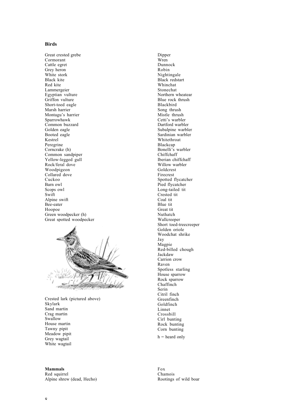# **Birds**

Great crested grebe Cormorant Cattle egret Grey heron White stork Black kite Red kite Lammergeier Egyptian vulture Griffon vulture Short-toed eagle Marsh harrier Montagu's harrier Sparrowhawk Common buzzard Golden eagle Booted eagle Kestrel Peregrine Corncrake (h) Common sandpiper Yellow-legged gull Rock/feral dove Woodpigeon Collared dove Cuckoo Barn owl Scops owl Swift Alpine swift Bee-eater Hoopoe Green woodpecker (h) Great spotted woodpecker



Crested lark (pictured above) Skylark Sand martin Crag martin Swallow House martin Tawny pipit Meadow pipit Grey wagtail White wagtail

Dipper Wren Dunnock Robin Nightingale Black redstart Whinchat Stonechat Northern wheatear Blue rock thrush Blackbird Song thrush Mistle thrush Cetti's warbler Dartford warbler Subalpine warbler Sardinian warbler Whitethroat Blackcap Bonelli's warbler Chiffchaff Iberian chiffchaff Willow warbler Goldcrest Firecrest Spotted flycatcher Pied flycatcher Long-tailed tit Crested tit Coal tit Blue tit Great tit Nuthatch Wallcreeper Short toed-treecreeper Golden oriole Woodchat shrike Jay Magpie Red-billed chough Jackdaw Carrion crow Raven Spotless starling House sparrow Rock sparrow Chaffinch Serin Citril finch Greenfinch Goldfinch Linnet Crossbill Cirl bunting Rock bunting Corn bunting

 $h =$  heard only

**Mammals**

Red squirrel Alpine shrew (dead, Hecho)

Fox Chamois Rootings of wild boar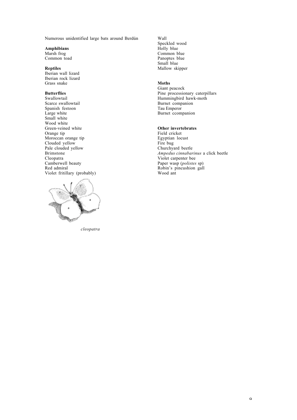Numerous unidentified large bats around Berdún

**Amphibians**

Marsh frog Common toad

# **Reptiles**

Iberian wall lizard Iberian rock lizard Grass snake

# **Butterflies**

Swallowtail Scarce swallowtail Spanish festoon Large white Small white Wood white Green-veined white Orange tip Moroccan orange tip Clouded yellow Pale clouded yellow Brimstone Cleopatra Camberwell beauty Red admiral Violet fritillary (probably)



*cleopatra*

Wall Speckled wood Holly blue Common blue Panoptes blue Small blue Mallow skipper

#### **Moths**

Giant peacock Pine processionary caterpillars Hummingbird hawk-moth Burnet companion Tau Emperor Burnet ccompanion

# **Other invertebrates**

Field cricket Egyptian locust Fire bug Churchyard beetle *Ampedus cinnabarinus* a click beetle Violet carpenter bee Paper wasp (*polistes* sp) Robin's pincushion gall Wood ant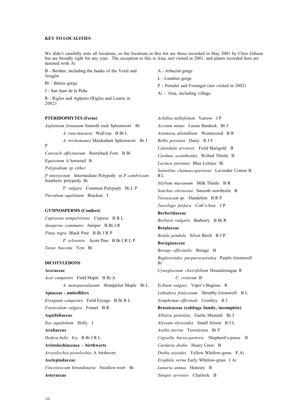#### **KEY TO LOCALITIES**

We didn't carefully note all locations, so the locations in this list are those recorded in May 2001 by Chris Gibson but are broadly right for any year. The exception to this is Aísa, not visited in 2001, and plants recorded here are denoted with Ai

> A - Arbayún gorge L - Lumbier gorge

Ai – Aísa, including village

P - Portalet and Formigal (not visited in 2002)

B - Berdún, including the banks of the Veral and Aragón

Bi - Biniés gorge

J - San Juan de la Peña

R - Riglos and Agüerro (Riglos and Loarre in 2002)

**PTERIDOPHYTES (Ferns)**

*Asplenium fontanum* Smooth rock Spleenwort Bi *A. ruta-muraria* Wall-rue B Bi L *A. trichomanes* Maidenhair Spleenwort Bi J P *Ceterach officinarum* Rustyback Fern B Bi *Equisetum* A horsetail B *Polypodium sp either*

*P interjectum* Intermediate Polypody or *P cambricum* Southern polypody Bi *P. vulgare* Common Polypody Bi L P

*Pteridium aquilinum* Bracken J

# **GYMNOSPERMS (Conifers)**

*Cupressus sempervirens* Cypress B R L *Juniperus communis* Juniper B Bi J R *Pinus nigra* Black Pine B Bi J R P *P. sylvestris* Scots Pine B Bi J R L P *Taxus baccata* Yew Bi

#### **DICOTYLEDONS**

**Aceraceae** *Acer campestre* Field Maple B Bi A *A. monspessulanum* Montpelier Maple Bi L **Apiaceae - umbellifers** *Eryngium campestre* Field Eryngo B Bi R L *Foeniculum vulgare* Fennel B R **Aquifoliaceae** *Ilex aquifolium* Holly J **Araliaceae** *Hedera helix* Ivy B Bi J R L **Aristolochiaceaea – birthworts** *Aristolochia pistolochia* A birthwort **Asclepiadaceae** *Vincetoxicum hirundinaria* Swallow-wort Bi **Asteraceae**

*Achillea millefolium* Yarrow J P *Arctium minus* Lesser Burdock Bi J *Artemisia absinthium* Wormwood B R *Bellis perennis* Daisy B J F *Calendula arvensis* Field Marigold B *Carduus acanthoides* Welted Thistle B *Lactuca perennis* Blue Lettuce Bi *Santolina chamaecyparissus* Lavender Cotton B R L *Silybum marianum* Milk Thistle B R *Sonchus oleraceua* Smooth sowthistle B *Taraxacum* sp. Dandelion B R P *Tussilago farfara* Colt's-foot J P **Berberidaceae** *Berberis vulgaris* Barberry B Bi R **Betulaceae** *Betula pendula* Silver Birch B J P **Boraginaceae** *Borago officinalis* Borage B *Buglossoides purpurocaerulea* Purple Gromwell Bi *Cynoglossum cheirifolium* Houndstongue R *C. creticum* B *Echium vulgare* Viper's Bugloss R *Lithodora fruticosum* Shrubby Gromwell B L *Symphytum officinale* Comfrey B J **Brassicaceae (cabbage family, incomplete)** *Alliaria petiolata* Garlic Mustard Bi J *Alyssum alyssoides* Small Alison B J L *Arabis turrita* Towercress Bi P *Capsella bursa-pastoris* Shepherd's-purse B *Cardaria draba* Hoary Cress B *Draba aizoides* Yellow Whitlow-grass P Ai *Erophila verna* Early Whitlow-grass J Ai *Lunaria annua* Honesty B *Sinapis arvensis* Charlock B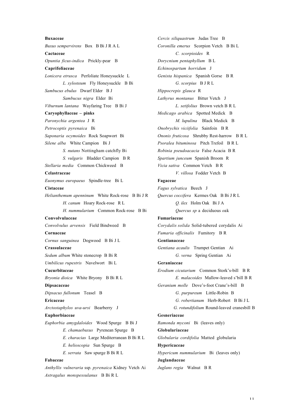# **Buxaceae** *Buxus sempervirens* Box B Bi J R A L **Cactaceae** *Opuntia ficus-indica* Prickly-pear B **Caprifoliaceae** *Lonicera etrusca* Perfoliate Honeysuckle L *L. xylosteum* Fly Honeysuckle B Bi *Sambucus ebulus* Dwarf Elder B J *Sambucus nigra* Elder Bi *Viburnum lantana* Wayfaring Tree B Bi J **Caryophyllaceae – pinks** *Paronychia argentea* J R *Petrocoptis pyrenaica* Bi *Saponaria ocymoides* Rock Soapwort Bi *Silene alba* White Campion Bi J *S. nutans* Nottingham catchfly Bi *S. vulgaris* Bladder Campion B R *Stellaria media* Common Chickweed B **Celastraceae** *Euonymus europaeus* Spindle-tree Bi L **Cistaceae** *Helianthemum apenninum* White Rock-rose B Bi J R *H. canum* Hoary Rock-rose R L *H. nummularium* Common Rock-rose B Bi **Convolvulaceae** *Convolvulus arvensis* Field Bindweed B **Cornaceae** *Cornus sanguinea* Dogwood B Bi J L **Crassulaceae** *Sedum album* White stonecrop B Bi R *Umbilicus rupestris* Navelwort Bi L **Cucurbitaceae** *Bryonia dioica* White Bryony B Bi R L **Dipsacaceae** *Dipsacus fullonum* Teasel B **Ericaceae** *Arctostaphylos uva-ursi* Bearberry J **Euphorbiaceae** *Euphorbia amygdaloides* Wood Spurge B Bi J *E. chamaebuxus* Pyrenean Spurge B *E. characias* Large Mediterranean B Bi R L *E. helioscopia* Sun Spurge B *E. serrata* Saw spurge B Bi R L **Fabaceae**

*Anthyllis vulneraria* ssp. *pyrenaica* Kidney Vetch Ai *Astragalus monspessulanus* B Bi R L

*Cercis siliquastrum* Judas Tree B *Coronilla emerus* Scorpion Vetch B Bi L *C. scorpioides* R *Dorycnium pentaphyllum* B L *Echinospartum horridum* J *Genista hispanica* Spanish Gorse B R *G. scorpius* B J R L *Hippocrepis glauca* R *Lathyrus montanus* Bitter Vetch J *L. setifolius* Brown vetch B R L *Medicago arabica* Spotted Medick B *M. lupulina* Black Medick B *Onobrychis viciifolia* Sainfoin B R *Ononis fruticosa* Shrubby Rest-harrow B R L *Psoralea bituminosa* Pitch Trefoil B R L *Robinia pseudoacacia* False Acacia B R *Spartium junceum* Spanish Broom R *Vicia sativa* Common Vetch B R *V. villosa* Fodder Vetch B **Fagaceae** *Fagus sylvatica* Beech J *Quercus coccifera* Kermes Oak B Bi J R L *Q. ilex* Holm Oak Bi J A *Quercus sp* a deciduous *o*ak **Fumariaceae** *Corydalis solida* Solid-tubered corydalis Ai *Fumaria officinalis* Fumitory B R **Gentianaceae** *Gentiana acaulis* Trumpet Gentian Ai *G. verna* Spring Gentian Ai **Geraniaceae** *Erodium cicutarium* Common Stork's-bill B R *E. malacoides* Mallow-leaved s'bill B R *Geranium molle* Dove's-foot Crane's-bill B *G. purpureum* Little-Robin B *G. robertianum* Herb-Robert B Bi J L  *G. rotundifolium* Round-leaved cranesbill B **Gesneriaceae** *Ramonda myconi* Bi (leaves only) **Globulariaceae** *Globularia cordifolia* Matted globularia **Hypericaceae** *Hypericum nummularium* Bi (leaves only) **Juglandaceae** *Juglans regia* Walnut B R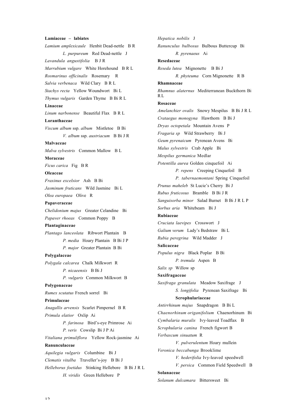# **Lamiaceae – labiates**

*Lamium amplexicaule* Henbit Dead-nettle B R *L. purpureum* Red Dead-nettle J *Lavandula angustifolia* B J R *Marrubium vulgare* White Horehound B R L *Rosmarinus officinalis* Rosemary R *Salvia verbenaca* Wild Clary B R L *Stachys recta* Yellow Woundwort Bi L *Thymus vulgaris* Garden Thyme B Bi R L **Linaceae** *Linum narbonense* Beautiful Flax B R L **Loranthaceae** *Viscum album* ssp. *album* Mistletoe B Bi *V. album* ssp. *austriacum* B Bi J R **Malvaceae** *Malva sylvestris* Common Mallow B L **Moraceae** *Ficus carica* Fig B R **Oleaceae** *Fraxinus excelsior* Ash B Bi *Jasminum fruticans* Wild Jasmine Bi L *Olea europaea* Olive R **Papaveraceae** *Chelidonium majus* Greater Celandine Bi *Papaver rhoeas* Common Poppy B **Plantaginaceae** *Plantago lanceolata* Ribwort Plantain B *P. media* Hoary Plantain B Bi J P *P. major* Greater Plantain B Bi **Polygalaceae** *Polygala calcarea* Chalk Milkwort R *P. nicaeensis* B Bi J *P. vulgaris* Common Milkwort B **Polygonaceae** *Rumex scutatus* French sorrel Bi **Primulaceae** *Anagallis arvensis* Scarlet Pimpernel B R *Primula elatior* Oxlip Ai *P. farinosa* Bird's-eye Primrose Ai *P. veris* Cowslip Bi J P Ai *Vitaliana primuliflora* Yellow Rock-jasmine Ai **Ranunculaceae** *Aquilegia vulgaris* Columbine Bi J *Clematis vitalba* Traveller's-joy B Bi J *Helleborus foetidus* Stinking Hellebore B Bi J R L *H. viridis* Green Hellebore P

*Hepatica nobilis* J *Ranunculus bulbosus* Bulbous Buttercup Bi *R. pyrenaeus* Ai **Resedaceae** *Reseda lutea* Mignonette B Bi J *R. phyteuma* Corn Mignonette R B **Rhamnaceae** *Rhamnus alaternus* Mediterranean Buckthorn Bi R<sub>L</sub> **Rosaceae** *Amelanchier ovalis* Snowy Mespilus B Bi J R L *Crataegus monogyna* Hawthorn B Bi J *Dryas octopetala* Mountain Avens P *Fragaria sp* Wild Strawberry Bi J *Geum pyrenaicum* Pyrenean Avens Bi *Malus sylvestris* Crab Apple Bi *Mespilus germanica* Medlar *Potentilla aurea* Golden cinquefoil Ai *P. repens* Creeping Cinquefoil B *P. tabernaemontani* Spring Cinquefoil *Prunus maheleb* St Lucie's Cherry Bi J *Rubus fruticosus* Bramble B Bi J R *Sanguisorba minor* Salad Burnet B Bi J R L P *Sorbus aria* Whitebeam Bi J **Rubiaceae** *Cruciata laevipes* Crosswort J *Galium verum* Lady's Bedstraw Bi L *Rubia peregrina* Wild Madder J **Salicaceae** *Populus nigra* Black Poplar B Bi *P. tremula* Aspen B *Salix sp* Willow sp **Saxifragaceae** *Saxifraga granulata* Meadow Saxifrage J *S. longifolia* Pyrenean Saxifrage Bi **Scrophulariaceae** *Antirrhinum majus* Snapdragon B Bi L *Chaenorhinum origanifolium* Chaenorhinum Bi *Cymbalaria muralis* Ivy-leaved Toadflax B *Scrophularia canina* French figwort B *Verbascum sinuatum* R *V. pulverulentum* Hoary mullein *Veronica beccabunga* Brooklime *V. hederifolia* Ivy-leaved speedwell *V. persica* Common Field Speedwell B **Solanaceae** *Solanum dulcamara* Bittersweet Bi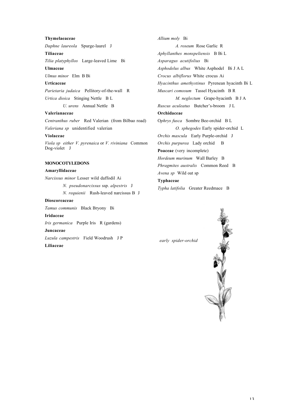#### **Thymelaeaceae**

*Daphne laureola* Spurge-laurel J

**Tiliaceae**

*Tilia platyphyllos* Large-leaved Lime Bi

**Ulmaceae**

*Ulmus minor* Elm B Bi

# **Urticaceae**

*Parietaria judaica* Pellitory-of-the-wall R *Urtica dioica* Stinging Nettle B L *U. urens* Annual Nettle B

#### **Valerianaceae**

*Centranthus ruber* Red Valerian (from Bilbao road) *Valeriana sp* unidentified valerian

#### **Violaceae**

*Viola sp either V. pyrenaica* or *V. riviniana* Common Dog-violet J

# **MONOCOTYLEDONS**

### **Amaryllidaceae**

*Narcissus minor* Lesser wild daffodil Ai *N. pseudonarcissus* ssp. *alpestris* J *N. requienii* Rush-leaved narcissus B J **Dioscoreaceae** *Tamus communis* Black Bryony Bi **Iridaceae** *Iris germanica* Purple Iris R (gardens) **Juncaceae** *Luzula campestris* Field Woodrush J P **Liliaceae**

*Allium moly* Bi *A. roseum* Rose Garlic R *Aphyllanthes monspeliensis* B Bi L *Asparagus acutifolius* Bi *Asphodelus albus* White Asphodel Bi J A L *Crocus albiflorus* White crocus Ai *Hyacinthus amethystinus* Pyrenean hyacinth Bi L *Muscari comosum* Tassel Hyacinth B R *M. neglectum* Grape-hyacinth B J A *Ruscus aculeatus* Butcher's-broom J L **Orchidaceae** O*phrys fusca* Sombre Bee-orchid B L *O. sphegodes* Early spider-orchid L *Orchis mascula* Early Purple-orchid J *Orchis purpurea* Lady orchid B **Poaceae** (very incomplete) *Hordeum murinum* Wall Barley B *Phragmites australis* Common Reed B *Avena sp* Wild oat sp **Typhaceae** *Typha latifolia* Greater Reedmace B